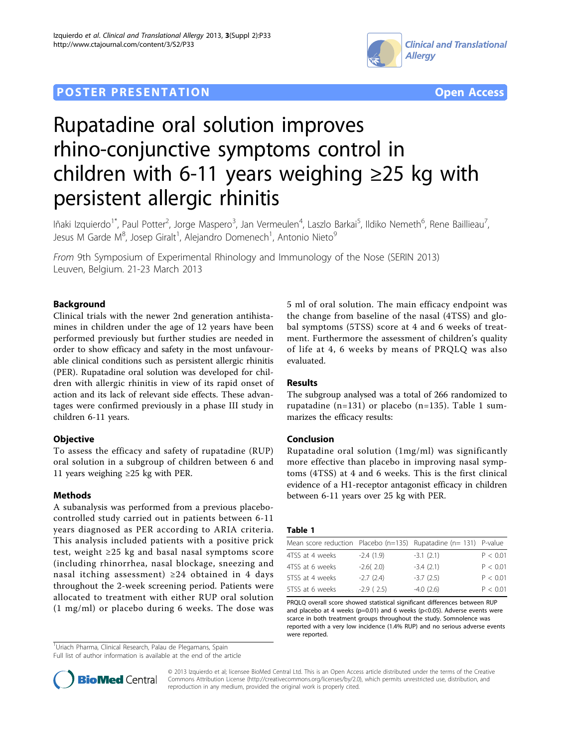

## **POSTER PRESENTATION CONSUMING THE SERVICE SERVICE SERVICES COPEN ACCESS**



# Rupatadine oral solution improves rhino-conjunctive symptoms control in children with 6-11 years weighing ≥25 kg with persistent allergic rhinitis

lñaki Izquierdo<sup>1\*</sup>, Paul Potter<sup>2</sup>, Jorge Maspero<sup>3</sup>, Jan Vermeulen<sup>4</sup>, Laszlo Barkai<sup>5</sup>, Ildiko Nemeth<sup>6</sup>, Rene Baillieau<sup>7</sup> , Jesus M Garde M $^8$ , Josep Giralt<sup>1</sup>, Alejandro Domenech<sup>1</sup>, Antonio Nieto $^9$ 

From 9th Symposium of Experimental Rhinology and Immunology of the Nose (SERIN 2013) Leuven, Belgium. 21-23 March 2013

### Background

Clinical trials with the newer 2nd generation antihistamines in children under the age of 12 years have been performed previously but further studies are needed in order to show efficacy and safety in the most unfavourable clinical conditions such as persistent allergic rhinitis (PER). Rupatadine oral solution was developed for children with allergic rhinitis in view of its rapid onset of action and its lack of relevant side effects. These advantages were confirmed previously in a phase III study in children 6-11 years.

#### **Objective**

To assess the efficacy and safety of rupatadine (RUP) oral solution in a subgroup of children between 6 and 11 years weighing ≥25 kg with PER.

#### Methods

A subanalysis was performed from a previous placebocontrolled study carried out in patients between 6-11 years diagnosed as PER according to ARIA criteria. This analysis included patients with a positive prick test, weight  $\geq 25$  kg and basal nasal symptoms score (including rhinorrhea, nasal blockage, sneezing and nasal itching assessment)  $\geq 24$  obtained in 4 days throughout the 2-week screening period. Patients were allocated to treatment with either RUP oral solution (1 mg/ml) or placebo during 6 weeks. The dose was

<sup>1</sup>Uriach Pharma, Clinical Research, Palau de Plegamans, Spain

Full list of author information is available at the end of the article

5 ml of oral solution. The main efficacy endpoint was the change from baseline of the nasal (4TSS) and global symptoms (5TSS) score at 4 and 6 weeks of treatment. Furthermore the assessment of children's quality of life at 4, 6 weeks by means of PRQLQ was also evaluated.

#### Results

The subgroup analysed was a total of 266 randomized to rupatadine (n=131) or placebo (n=135). Table 1 summarizes the efficacy results:

#### Conclusion

Rupatadine oral solution (1mg/ml) was significantly more effective than placebo in improving nasal symptoms (4TSS) at 4 and 6 weeks. This is the first clinical evidence of a H1-receptor antagonist efficacy in children between 6-11 years over 25 kg with PER.

#### Table 1

| Mean score reduction Placebo ( $n=135$ ) Rupatadine ( $n=131$ ) P-value |             |             |          |
|-------------------------------------------------------------------------|-------------|-------------|----------|
| 4TSS at 4 weeks                                                         | $-2.4(1.9)$ | $-3.1(2.1)$ | P < 0.01 |
| 4TSS at 6 weeks                                                         | $-2.6(2.0)$ | $-3.4(2.1)$ | P < 0.01 |
| 5TSS at 4 weeks                                                         | $-2.7(2.4)$ | $-3.7(2.5)$ | P < 0.01 |
| 5TSS at 6 weeks                                                         | $-2.9(2.5)$ | $-4.0(2.6)$ | P < 0.01 |

PRQLQ overall score showed statistical significant differences between RUP and placebo at 4 weeks (p=0.01) and 6 weeks (p<0.05). Adverse events were scarce in both treatment groups throughout the study. Somnolence was reported with a very low incidence (1.4% RUP) and no serious adverse events were reported.



© 2013 Izquierdo et al; licensee BioMed Central Ltd. This is an Open Access article distributed under the terms of the Creative Commons Attribution License [\(http://creativecommons.org/licenses/by/2.0](http://creativecommons.org/licenses/by/2.0)), which permits unrestricted use, distribution, and reproduction in any medium, provided the original work is properly cited.